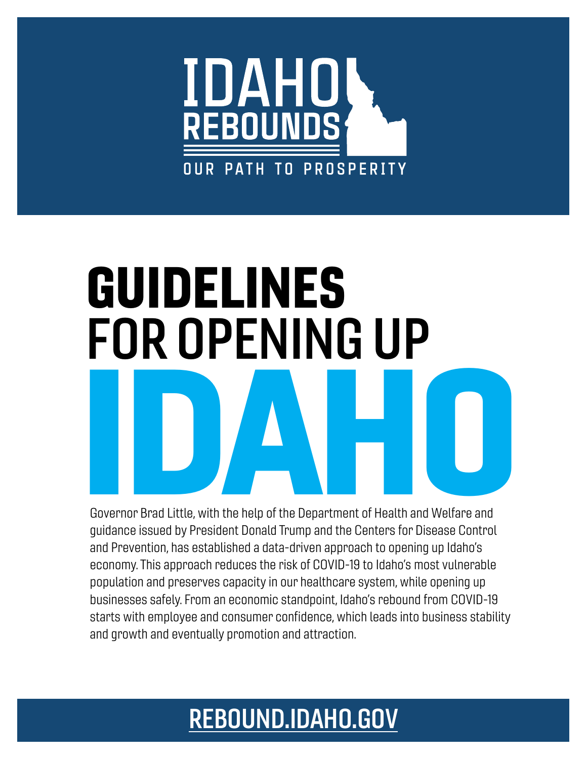

# GUIDELINES FOR OPENING UP Experience Brad Little, with the help of the Department of Health and Welfare and

Governor Brad Little, with the help of the Department of Health and Welfare and guidance issued by President Donald Trump and the Centers for Disease Control and Prevention, has established a data-driven approach to opening up Idaho's economy. This approach reduces the risk of COVID-19 to Idaho's most vulnerable population and preserves capacity in our healthcare system, while opening up businesses safely. From an economic standpoint, Idaho's rebound from COVID-19 starts with employee and consumer confidence, which leads into business stability and growth and eventually promotion and attraction.

# [REBOUND.IDAHO.GOV](http://rebound.idaho.gov)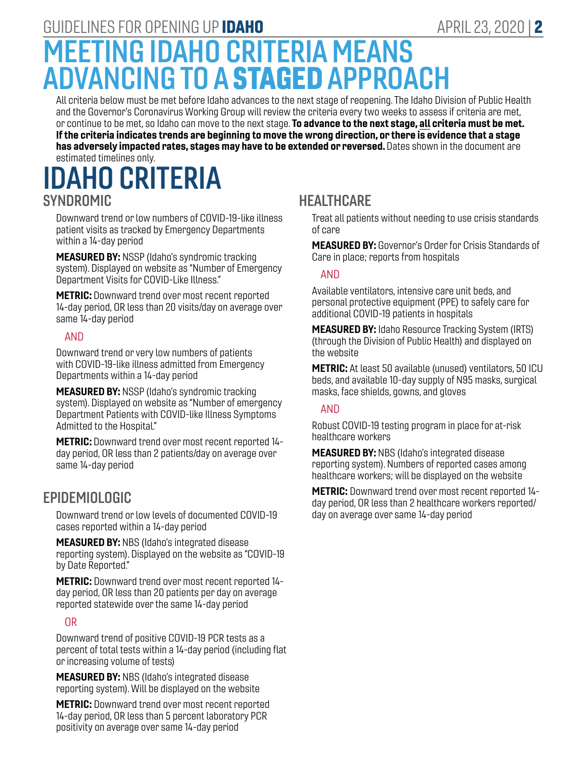## GUIDELINES FOR OPENING UP **IDAHO** APRIL 23, 2020 | **2**

# MEETING IDAHO CRITERIA MEANS ADVANCING TO A STAGED APPROACH

All criteria below must be met before Idaho advances to the next stage of reopening. The Idaho Division of Public Health and the Governor's Coronavirus Working Group will review the criteria every two weeks to assess if criteria are met, or continue to be met, so Idaho can move to the next stage. To advance to the next stage, all criteria must be met. If the criteria indicates trends are beginning to move the wrong direction, or there is evidence that a stage has adversely impacted rates, stages may have to be extended or reversed. Dates shown in the document are estimated timelines only.

## IDAHO CRITERIA SYNDROMIC

Downward trend or low numbers of COVID-19-like illness patient visits as tracked by Emergency Departments within a 14-day period

MEASURED BY: NSSP (Idaho's syndromic tracking system). Displayed on website as "Number of Emergency Department Visits for COVID-Like Illness."

METRIC: Downward trend over most recent reported 14-day period, OR less than 20 visits/day on average over same 14-day period

#### AND

Downward trend or very low numbers of patients with COVID-19-like illness admitted from Emergency Departments within a 14-day period

MEASURED BY: NSSP (Idaho's syndromic tracking system). Displayed on website as "Number of emergency Department Patients with COVID-like Illness Symptoms Admitted to the Hospital."

METRIC: Downward trend over most recent reported 14 day period, OR less than 2 patients/day on average over same 14-day period

#### EPIDEMIOLOGIC

Downward trend or low levels of documented COVID-19 cases reported within a 14-day period

MEASURED BY: NBS (Idaho's integrated disease reporting system). Displayed on the website as "COVID-19 by Date Reported."

METRIC: Downward trend over most recent reported 14 day period, OR less than 20 patients per day on average reported statewide over the same 14-day period

#### OR

Downward trend of positive COVID-19 PCR tests as a percent of total tests within a 14-day period (including flat or increasing volume of tests)

MEASURED BY: NBS (Idaho's integrated disease reporting system). Will be displayed on the website

METRIC: Downward trend over most recent reported 14-day period, OR less than 5 percent laboratory PCR positivity on average over same 14-day period

## **HEALTHCARE**

Treat all patients without needing to use crisis standards of care

MEASURED BY: Governor's Order for Crisis Standards of Care in place; reports from hospitals

#### AND

Available ventilators, intensive care unit beds, and personal protective equipment (PPE) to safely care for additional COVID-19 patients in hospitals

**MEASURED BY:** Idaho Resource Tracking System (IRTS) (through the Division of Public Health) and displayed on the website

METRIC: At least 50 available (unused) ventilators, 50 ICU beds, and available 10-day supply of N95 masks, surgical masks, face shields, gowns, and gloves

#### AND

Robust COVID-19 testing program in place for at-risk healthcare workers

**MEASURED BY: NBS (Idaho's integrated disease** reporting system). Numbers of reported cases among healthcare workers; will be displayed on the website

METRIC: Downward trend over most recent reported 14 day period, OR less than 2 healthcare workers reported/ day on average over same 14-day period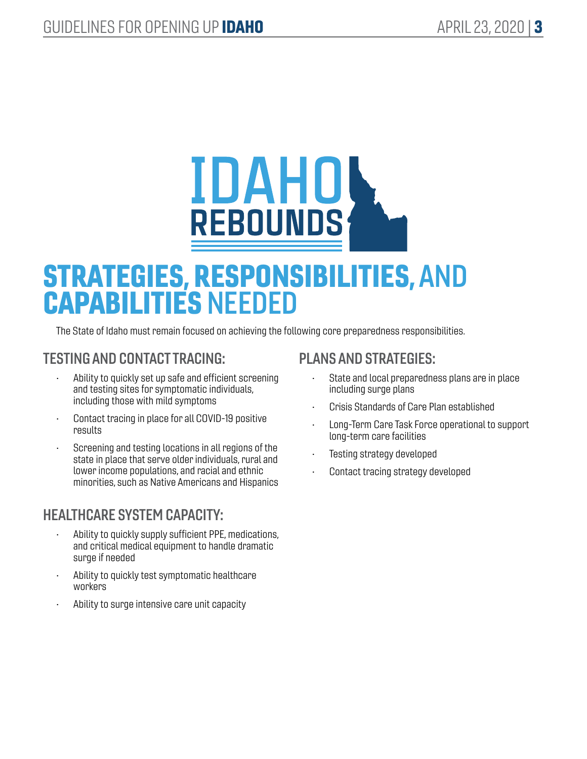

# STRATEGIES, RESPONSIBILITIES, AND CAPABILITIES NEEDED

The State of Idaho must remain focused on achieving the following core preparedness responsibilities.

## TESTING AND CONTACT TRACING:

- Ability to quickly set up safe and efficient screening and testing sites for symptomatic individuals, including those with mild symptoms
- Contact tracing in place for all COVID-19 positive results
- Screening and testing locations in all regions of the state in place that serve older individuals, rural and lower income populations, and racial and ethnic minorities, such as Native Americans and Hispanics

## HEALTHCARE SYSTEM CAPACITY:

- Ability to quickly supply sufficient PPE, medications, and critical medical equipment to handle dramatic surge if needed
- Ability to quickly test symptomatic healthcare workers
- Ability to surge intensive care unit capacity

## PLANS AND STRATEGIES:

- State and local preparedness plans are in place including surge plans
- Crisis Standards of Care Plan established
- Long-Term Care Task Force operational to support long-term care facilities
- Testing strategy developed
- Contact tracing strategy developed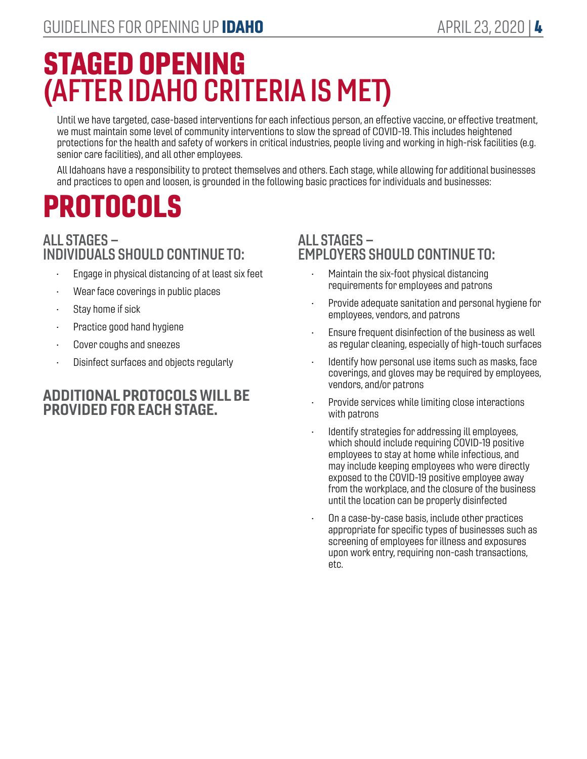# STAGED OPENING (AFTER IDAHO CRITERIA IS MET)

Until we have targeted, case-based interventions for each infectious person, an effective vaccine, or effective treatment, we must maintain some level of community interventions to slow the spread of COVID-19. This includes heightened protections for the health and safety of workers in critical industries, people living and working in high-risk facilities (e.g. senior care facilities), and all other employees.

All Idahoans have a responsibility to protect themselves and others. Each stage, while allowing for additional businesses and practices to open and loosen, is grounded in the following basic practices for individuals and businesses:

# PROTOCOLS

#### ALL STAGES – INDIVIDUALS SHOULD CONTINUE TO:

- Engage in physical distancing of at least six feet
- Wear face coverings in public places
- Stay home if sick
- Practice good hand hygiene
- Cover coughs and sneezes
- Disinfect surfaces and objects regularly

#### ADDITIONAL PROTOCOLS WILL BE PROVIDED FOR EACH STAGE.

#### ALL STAGES – EMPLOYERS SHOULD CONTINUE TO:

- Maintain the six-foot physical distancing requirements for employees and patrons
- Provide adequate sanitation and personal hygiene for employees, vendors, and patrons
- Ensure frequent disinfection of the business as well as regular cleaning, especially of high-touch surfaces
- Identify how personal use items such as masks, face coverings, and gloves may be required by employees, vendors, and/or patrons
- Provide services while limiting close interactions with patrons
- Identify strategies for addressing ill employees, which should include requiring COVID-19 positive employees to stay at home while infectious, and may include keeping employees who were directly exposed to the COVID-19 positive employee away from the workplace, and the closure of the business until the location can be properly disinfected
- On a case-by-case basis, include other practices appropriate for specific types of businesses such as screening of employees for illness and exposures upon work entry, requiring non-cash transactions, etc.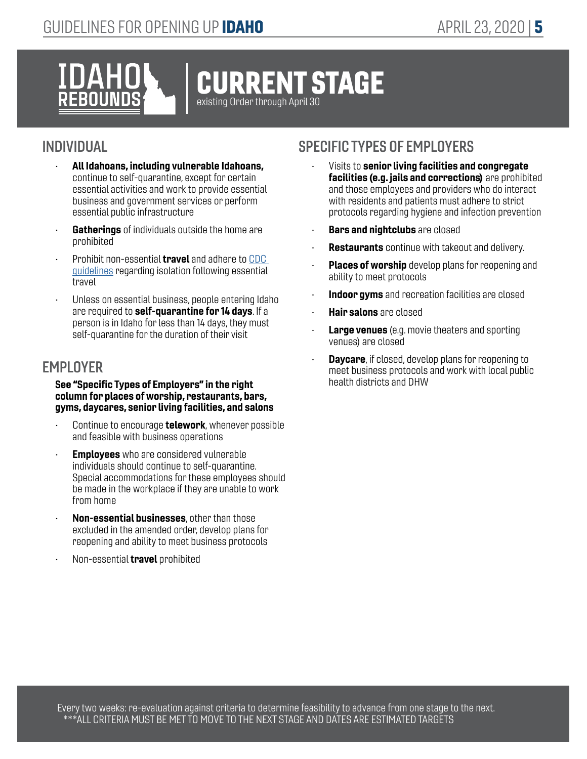

## INDIVIDUAL

- All Idahoans, including vulnerable Idahoans, continue to self-quarantine, except for certain essential activities and work to provide essential business and government services or perform essential public infrastructure
- Gatherings of individuals outside the home are prohibited
- Prohibit non-essential **travel** and adhere to CDC [guidelines](https://www.cdc.gov/coronavirus/2019-ncov/travelers/index.html) regarding isolation following essential travel
- Unless on essential business, people entering Idaho are required to self-quarantine for 14 days. If a person is in Idaho for less than 14 days, they must self-quarantine for the duration of their visit

#### **EMPLOYER**

#### See "Specific Types of Employers" in the right column for places of worship, restaurants, bars, gyms, daycares, senior living facilities, and salons

- Continue to encourage **telework**, whenever possible and feasible with business operations
- **Employees** who are considered vulnerable individuals should continue to self-quarantine. Special accommodations for these employees should be made in the workplace if they are unable to work from home
- Non-essential businesses, other than those excluded in the amended order, develop plans for reopening and ability to meet business protocols
- Non-essential **travel** prohibited

- Visits to senior living facilities and congregate facilities (e.g. jails and corrections) are prohibited and those employees and providers who do interact with residents and patients must adhere to strict protocols regarding hygiene and infection prevention
- Bars and nightclubs are closed
- **Restaurants** continue with takeout and delivery.
- **Places of worship** develop plans for reopening and ability to meet protocols
- Indoor gyms and recreation facilities are closed
- **Hair salons** are closed
- **Large venues** (e.g. movie theaters and sporting venues) are closed
- **Daycare**, if closed, develop plans for reopening to meet business protocols and work with local public health districts and DHW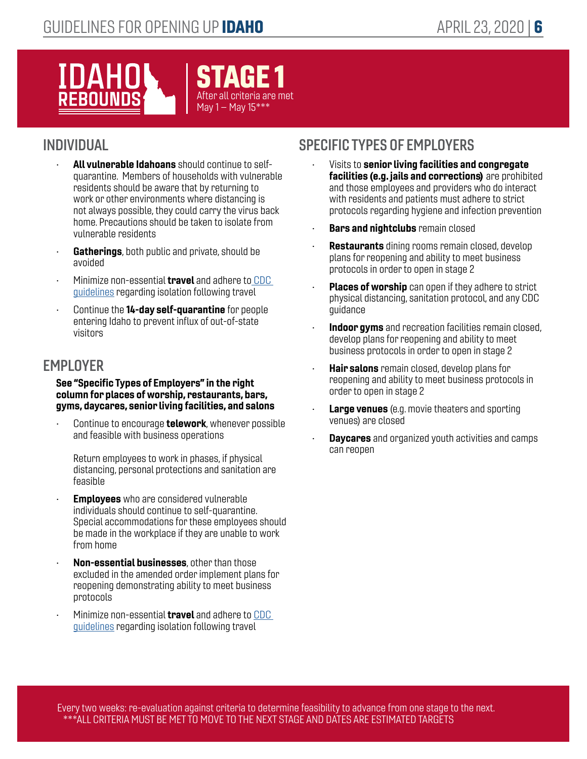# IDAH EBOUNDS



## INDIVIDUAL

- All vulnerable Idahoans should continue to selfquarantine. Members of households with vulnerable residents should be aware that by returning to work or other environments where distancing is not always possible, they could carry the virus back home. Precautions should be taken to isolate from vulnerable residents
- Gatherings, both public and private, should be avoided
- Minimize non-essential travel and adhere t[o CDC](https://www.cdc.gov/coronavirus/2019-ncov/travelers/index.html)  [guidelines](https://www.cdc.gov/coronavirus/2019-ncov/travelers/index.html) regarding isolation following travel
- Continue the 14-day self-quarantine for people entering Idaho to prevent influx of out-of-state visitors

#### **EMPLOYER**

#### See "Specific Types of Employers" in the right column for places of worship, restaurants, bars, gyms, daycares, senior living facilities, and salons

Continue to encourage **telework**, whenever possible and feasible with business operations

Return employees to work in phases, if physical distancing, personal protections and sanitation are feasible

- **Employees** who are considered vulnerable individuals should continue to self-quarantine. Special accommodations for these employees should be made in the workplace if they are unable to work from home
- Non-essential businesses, other than those excluded in the amended order implement plans for reopening demonstrating ability to meet business protocols
- Minimize non-essential travel and adhere to [CDC](https://www.cdc.gov/coronavirus/2019-ncov/travelers/index.html)  [guidelines](https://www.cdc.gov/coronavirus/2019-ncov/travelers/index.html) regarding isolation following travel

## SPECIFIC TYPES OF EMPLOYERS

- Visits to senior living facilities and congregate facilities (e.g. jails and corrections) are prohibited and those employees and providers who do interact with residents and patients must adhere to strict protocols regarding hygiene and infection prevention
- **Bars and nightclubs remain closed**
- **Restaurants** dining rooms remain closed, develop plans for reopening and ability to meet business protocols in order to open in stage 2
- Places of worship can open if they adhere to strict physical distancing, sanitation protocol, and any CDC guidance
- Indoor gyms and recreation facilities remain closed, develop plans for reopening and ability to meet business protocols in order to open in stage 2
- **Hair salons** remain closed, develop plans for reopening and ability to meet business protocols in order to open in stage 2
- **Large venues** (e.g. movie theaters and sporting venues) are closed
- **Daycares** and organized youth activities and camps can reopen

Every two weeks: re-evaluation against criteria to determine feasibility to advance from one stage to the next. \*\*\*ALL CRITERIA MUST BE MET TO MOVE TO THE NEXT STAGE AND DATES ARE ESTIMATED TARGETS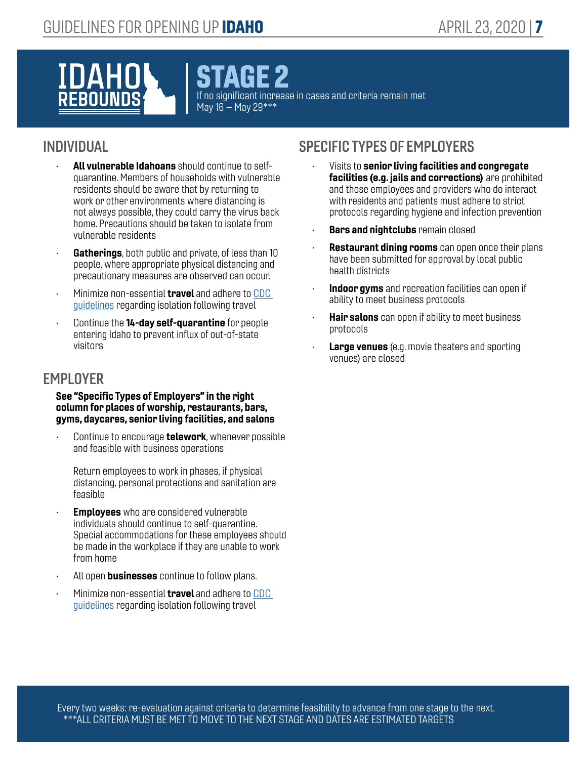# **NAH**

AGE 2

If no significant increase in cases and criteria remain met May 16 – May 29\*\*\*

#### INDIVIDUAL

- All vulnerable Idahoans should continue to selfquarantine. Members of households with vulnerable residents should be aware that by returning to work or other environments where distancing is not always possible, they could carry the virus back home. Precautions should be taken to isolate from vulnerable residents
- Gatherings, both public and private, of less than 10 people, where appropriate physical distancing and precautionary measures are observed can occur.
- Minimize non-essential **travel** and adhere to CDC [guidelines](https://www.cdc.gov/coronavirus/2019-ncov/travelers/index.html) regarding isolation following travel
- Continue the 14-day self-quarantine for people entering Idaho to prevent influx of out-of-state visitors

#### **EMPLOYER**

#### See "Specific Types of Employers" in the right column for places of worship, restaurants, bars, gyms, daycares, senior living facilities, and salons

Continue to encourage **telework**, whenever possible and feasible with business operations

Return employees to work in phases, if physical distancing, personal protections and sanitation are feasible

- **Employees** who are considered vulnerable individuals should continue to self-quarantine. Special accommodations for these employees should be made in the workplace if they are unable to work from home
- All open **businesses** continue to follow plans.
- Minimize non-essential **travel** and adhere to CDC [guidelines](https://www.cdc.gov/coronavirus/2019-ncov/travelers/index.html) regarding isolation following travel

- Visits to senior living facilities and congregate facilities (e.g. jails and corrections) are prohibited and those employees and providers who do interact with residents and patients must adhere to strict protocols regarding hygiene and infection prevention
- **Bars and nightclubs** remain closed
- **Restaurant dining rooms** can open once their plans have been submitted for approval by local public health districts
- Indoor gyms and recreation facilities can open if ability to meet business protocols
- **Hair salons** can open if ability to meet business protocols
- **Large venues** (e.g. movie theaters and sporting venues) are closed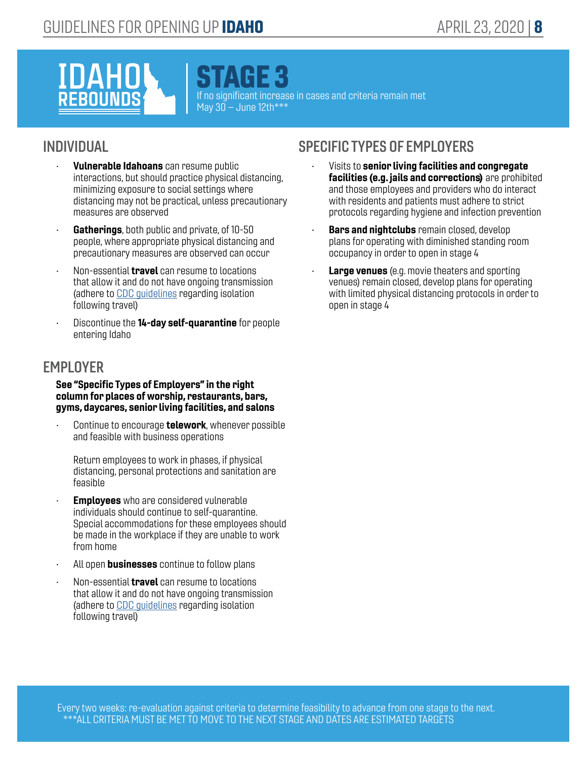# **IDAHO** EBOUNDS

STAGE 3

If no significant increase in cases and criteria remain met May  $30 -$ June 12th\*\*\*

#### INDIVIDUAL

- Vulnerable Idahoans can resume public interactions, but should practice physical distancing, minimizing exposure to social settings where distancing may not be practical, unless precautionary measures are observed
- Gatherings, both public and private, of 10-50 people, where appropriate physical distancing and precautionary measures are observed can occur
- Non-essential **travel** can resume to locations that allow it and do not have ongoing transmission (adhere to [CDC guidelines](https://www.cdc.gov/coronavirus/2019-ncov/travelers/index.html) regarding isolation following travel)
- Discontinue the 14-day self-quarantine for people entering Idaho

#### **EMPLOYER**

#### See "Specific Types of Employers" in the right column for places of worship, restaurants, bars, gyms, daycares, senior living facilities, and salons

Continue to encourage **telework**, whenever possible and feasible with business operations

Return employees to work in phases, if physical distancing, personal protections and sanitation are feasible

- **Employees** who are considered vulnerable individuals should continue to self-quarantine. Special accommodations for these employees should be made in the workplace if they are unable to work from home
- All open **businesses** continue to follow plans
- Non-essential **travel** can resume to locations that allow it and do not have ongoing transmission (adhere to [CDC guidelines](https://www.cdc.gov/coronavirus/2019-ncov/travelers/index.html) regarding isolation following travel)

- Visits to senior living facilities and congregate facilities (e.g. jails and corrections) are prohibited and those employees and providers who do interact with residents and patients must adhere to strict protocols regarding hygiene and infection prevention
- **Bars and nightclubs** remain closed, develop plans for operating with diminished standing room occupancy in order to open in stage 4
- Large venues (e.g. movie theaters and sporting venues) remain closed, develop plans for operating with limited physical distancing protocols in order to open in stage 4